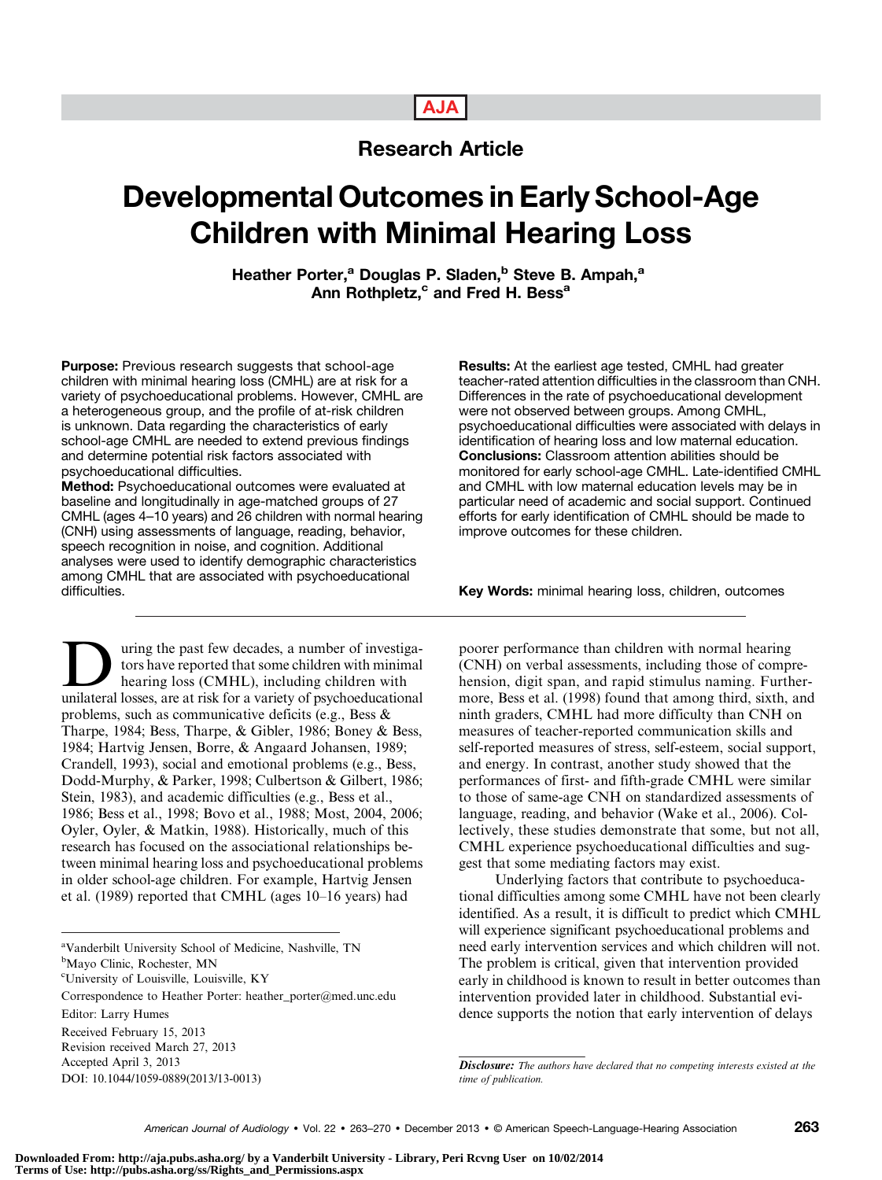# AJA

# Research Article

# Developmental Outcomes in Early School-Age Children with Minimal Hearing Loss

Heather Porter,<sup>a</sup> Douglas P. Sladen,<sup>b</sup> Steve B. Ampah,<sup>a</sup> Ann Rothpletz,<sup>c</sup> and Fred H. Bess<sup>a</sup>

Purpose: Previous research suggests that school-age children with minimal hearing loss (CMHL) are at risk for a variety of psychoeducational problems. However, CMHL are a heterogeneous group, and the profile of at-risk children is unknown. Data regarding the characteristics of early school-age CMHL are needed to extend previous findings and determine potential risk factors associated with psychoeducational difficulties.

Method: Psychoeducational outcomes were evaluated at baseline and longitudinally in age-matched groups of 27 CMHL (ages 4–10 years) and 26 children with normal hearing (CNH) using assessments of language, reading, behavior, speech recognition in noise, and cognition. Additional analyses were used to identify demographic characteristics among CMHL that are associated with psychoeducational difficulties.

uring the past few decades, a number of investigators have reported that some children with minimal hearing loss (CMHL), including children with unilateral losses, are at risk for a variety of psychoeducational problems, such as communicative deficits (e.g., Bess & Tharpe, 1984; Bess, Tharpe, & Gibler, 1986; Boney & Bess, 1984; Hartvig Jensen, Borre, & Angaard Johansen, 1989; Crandell, 1993), social and emotional problems (e.g., Bess, Dodd-Murphy, & Parker, 1998; Culbertson & Gilbert, 1986; Stein, 1983), and academic difficulties (e.g., Bess et al., 1986; Bess et al., 1998; Bovo et al., 1988; Most, 2004, 2006; Oyler, Oyler, & Matkin, 1988). Historically, much of this research has focused on the associational relationships between minimal hearing loss and psychoeducational problems in older school-age children. For example, Hartvig Jensen et al. (1989) reported that CMHL (ages 10–16 years) had

<sup>a</sup>Vanderbilt University School of Medicine, Nashville, TN

c University of Louisville, Louisville, KY

Correspondence to Heather Porter: heather\_porter@med.unc.edu

Editor: Larry Humes

Received February 15, 2013 Revision received March 27, 2013 Accepted April 3, 2013

DOI: 10.1044/1059-0889(2013/13-0013)

Results: At the earliest age tested, CMHL had greater teacher-rated attention difficulties in the classroom than CNH. Differences in the rate of psychoeducational development were not observed between groups. Among CMHL, psychoeducational difficulties were associated with delays in identification of hearing loss and low maternal education. Conclusions: Classroom attention abilities should be monitored for early school-age CMHL. Late-identified CMHL and CMHL with low maternal education levels may be in particular need of academic and social support. Continued efforts for early identification of CMHL should be made to improve outcomes for these children.

Key Words: minimal hearing loss, children, outcomes

poorer performance than children with normal hearing (CNH) on verbal assessments, including those of comprehension, digit span, and rapid stimulus naming. Furthermore, Bess et al. (1998) found that among third, sixth, and ninth graders, CMHL had more difficulty than CNH on measures of teacher-reported communication skills and self-reported measures of stress, self-esteem, social support, and energy. In contrast, another study showed that the performances of first- and fifth-grade CMHL were similar to those of same-age CNH on standardized assessments of language, reading, and behavior (Wake et al., 2006). Collectively, these studies demonstrate that some, but not all, CMHL experience psychoeducational difficulties and suggest that some mediating factors may exist.

Underlying factors that contribute to psychoeducational difficulties among some CMHL have not been clearly identified. As a result, it is difficult to predict which CMHL will experience significant psychoeducational problems and need early intervention services and which children will not. The problem is critical, given that intervention provided early in childhood is known to result in better outcomes than intervention provided later in childhood. Substantial evidence supports the notion that early intervention of delays

<sup>&</sup>lt;sup>b</sup>Mayo Clinic, Rochester, MN

Disclosure: The authors have declared that no competing interests existed at the time of publication.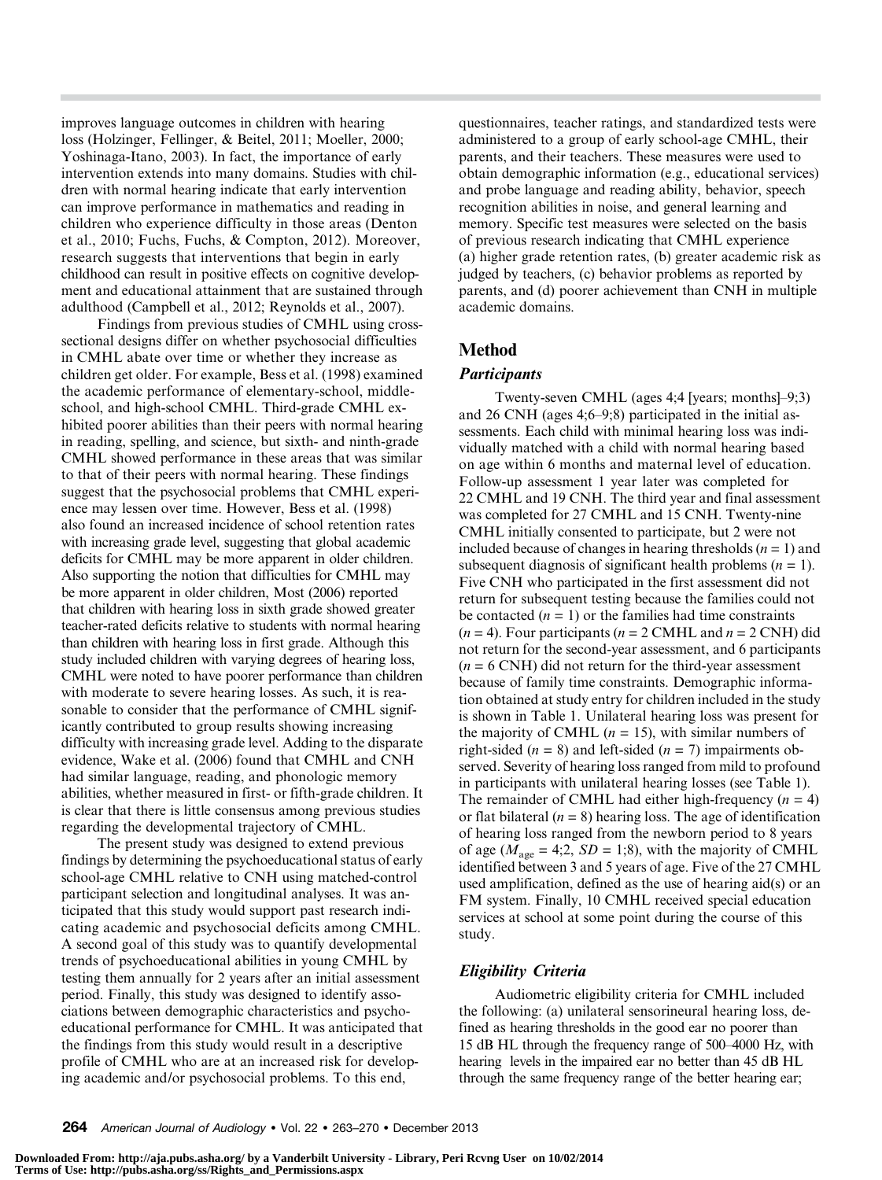improves language outcomes in children with hearing loss (Holzinger, Fellinger, & Beitel, 2011; Moeller, 2000; Yoshinaga-Itano, 2003). In fact, the importance of early intervention extends into many domains. Studies with children with normal hearing indicate that early intervention can improve performance in mathematics and reading in children who experience difficulty in those areas (Denton et al., 2010; Fuchs, Fuchs, & Compton, 2012). Moreover, research suggests that interventions that begin in early childhood can result in positive effects on cognitive development and educational attainment that are sustained through adulthood (Campbell et al., 2012; Reynolds et al., 2007).

Findings from previous studies of CMHL using crosssectional designs differ on whether psychosocial difficulties in CMHL abate over time or whether they increase as children get older. For example, Bess et al. (1998) examined the academic performance of elementary-school, middleschool, and high-school CMHL. Third-grade CMHL exhibited poorer abilities than their peers with normal hearing in reading, spelling, and science, but sixth- and ninth-grade CMHL showed performance in these areas that was similar to that of their peers with normal hearing. These findings suggest that the psychosocial problems that CMHL experience may lessen over time. However, Bess et al. (1998) also found an increased incidence of school retention rates with increasing grade level, suggesting that global academic deficits for CMHL may be more apparent in older children. Also supporting the notion that difficulties for CMHL may be more apparent in older children, Most (2006) reported that children with hearing loss in sixth grade showed greater teacher-rated deficits relative to students with normal hearing than children with hearing loss in first grade. Although this study included children with varying degrees of hearing loss, CMHL were noted to have poorer performance than children with moderate to severe hearing losses. As such, it is reasonable to consider that the performance of CMHL significantly contributed to group results showing increasing difficulty with increasing grade level. Adding to the disparate evidence, Wake et al. (2006) found that CMHL and CNH had similar language, reading, and phonologic memory abilities, whether measured in first- or fifth-grade children. It is clear that there is little consensus among previous studies regarding the developmental trajectory of CMHL.

The present study was designed to extend previous findings by determining the psychoeducational status of early school-age CMHL relative to CNH using matched-control participant selection and longitudinal analyses. It was anticipated that this study would support past research indicating academic and psychosocial deficits among CMHL. A second goal of this study was to quantify developmental trends of psychoeducational abilities in young CMHL by testing them annually for 2 years after an initial assessment period. Finally, this study was designed to identify associations between demographic characteristics and psychoeducational performance for CMHL. It was anticipated that the findings from this study would result in a descriptive profile of CMHL who are at an increased risk for developing academic and/or psychosocial problems. To this end,

questionnaires, teacher ratings, and standardized tests were administered to a group of early school-age CMHL, their parents, and their teachers. These measures were used to obtain demographic information (e.g., educational services) and probe language and reading ability, behavior, speech recognition abilities in noise, and general learning and memory. Specific test measures were selected on the basis of previous research indicating that CMHL experience (a) higher grade retention rates, (b) greater academic risk as judged by teachers, (c) behavior problems as reported by parents, and (d) poorer achievement than CNH in multiple academic domains.

# Method

# Participants

Twenty-seven CMHL (ages 4;4 [years; months]–9;3) and 26 CNH (ages 4;6–9;8) participated in the initial assessments. Each child with minimal hearing loss was individually matched with a child with normal hearing based on age within 6 months and maternal level of education. Follow-up assessment 1 year later was completed for 22 CMHL and 19 CNH. The third year and final assessment was completed for 27 CMHL and 15 CNH. Twenty-nine CMHL initially consented to participate, but 2 were not included because of changes in hearing thresholds  $(n = 1)$  and subsequent diagnosis of significant health problems  $(n = 1)$ . Five CNH who participated in the first assessment did not return for subsequent testing because the families could not be contacted  $(n = 1)$  or the families had time constraints  $(n = 4)$ . Four participants  $(n = 2 \text{ CMHL} \text{ and } n = 2 \text{ CNH})$  did not return for the second-year assessment, and 6 participants  $(n = 6 \text{ CNH})$  did not return for the third-year assessment because of family time constraints. Demographic information obtained at study entry for children included in the study is shown in Table 1. Unilateral hearing loss was present for the majority of CMHL ( $n = 15$ ), with similar numbers of right-sided ( $n = 8$ ) and left-sided ( $n = 7$ ) impairments observed. Severity of hearing loss ranged from mild to profound in participants with unilateral hearing losses (see Table 1). The remainder of CMHL had either high-frequency  $(n = 4)$ or flat bilateral  $(n = 8)$  hearing loss. The age of identification of hearing loss ranged from the newborn period to 8 years of age ( $M_{\text{age}} = 4;2$ ,  $SD = 1;8$ ), with the majority of CMHL identified between 3 and 5 years of age. Five of the 27 CMHL used amplification, defined as the use of hearing aid(s) or an FM system. Finally, 10 CMHL received special education services at school at some point during the course of this study.

# Eligibility Criteria

Audiometric eligibility criteria for CMHL included the following: (a) unilateral sensorineural hearing loss, defined as hearing thresholds in the good ear no poorer than 15 dB HL through the frequency range of 500–4000 Hz, with hearing levels in the impaired ear no better than 45 dB HL through the same frequency range of the better hearing ear;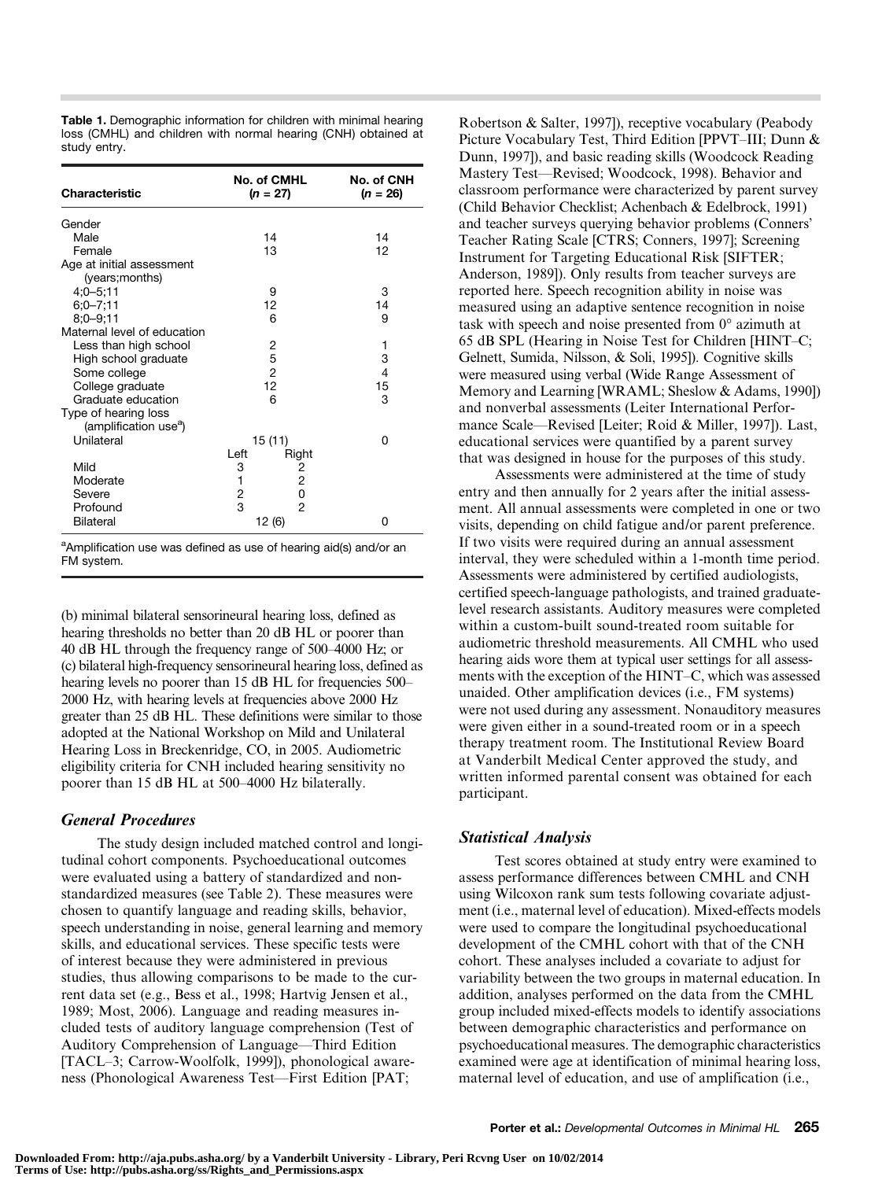| <b>Table 1.</b> Demographic information for children with minimal hearing |  |
|---------------------------------------------------------------------------|--|
| loss (CMHL) and children with normal hearing (CNH) obtained at            |  |
| study entry.                                                              |  |

| Characteristic                                            | No. of CMHL<br>$(n = 27)$ | No. of CNH<br>$(n = 26)$ |
|-----------------------------------------------------------|---------------------------|--------------------------|
| Gender                                                    |                           |                          |
| Male                                                      | 14                        | 14                       |
| Female                                                    | 13                        | 12                       |
| Age at initial assessment<br>(years; months)              |                           |                          |
| $4:0 - 5:11$                                              | 9                         | 3                        |
| $6:0 - 7:11$                                              | 12                        | 14                       |
| $8:0 - 9:11$                                              | 6                         | 9                        |
| Maternal level of education                               |                           |                          |
| Less than high school                                     | 2                         | 1                        |
| High school graduate                                      | 5                         | 3                        |
| Some college                                              | 2                         | 4                        |
| College graduate                                          | 12                        | 15                       |
| Graduate education                                        | 6                         | 3                        |
| Type of hearing loss<br>(amplification use <sup>a</sup> ) |                           |                          |
| Unilateral                                                | 15(11)                    | O                        |
|                                                           | Left<br>Right             |                          |
| Mild                                                      | 3<br>2                    |                          |
| Moderate                                                  | 2<br>1                    |                          |
| Severe                                                    | 2<br>0                    |                          |
| Profound                                                  | 3<br>2                    |                          |
| Bilateral                                                 | 12 (6)                    | 0                        |

<sup>&</sup>lt;sup>a</sup>Amplification use was defined as use of hearing aid(s) and/or an FM system.

(b) minimal bilateral sensorineural hearing loss, defined as hearing thresholds no better than 20 dB HL or poorer than 40 dB HL through the frequency range of 500–4000 Hz; or (c) bilateral high-frequency sensorineural hearing loss, defined as hearing levels no poorer than 15 dB HL for frequencies 500– 2000 Hz, with hearing levels at frequencies above 2000 Hz greater than 25 dB HL. These definitions were similar to those adopted at the National Workshop on Mild and Unilateral Hearing Loss in Breckenridge, CO, in 2005. Audiometric eligibility criteria for CNH included hearing sensitivity no poorer than 15 dB HL at 500–4000 Hz bilaterally.

# General Procedures

The study design included matched control and longitudinal cohort components. Psychoeducational outcomes were evaluated using a battery of standardized and nonstandardized measures (see Table 2). These measures were chosen to quantify language and reading skills, behavior, speech understanding in noise, general learning and memory skills, and educational services. These specific tests were of interest because they were administered in previous studies, thus allowing comparisons to be made to the current data set (e.g., Bess et al., 1998; Hartvig Jensen et al., 1989; Most, 2006). Language and reading measures included tests of auditory language comprehension (Test of Auditory Comprehension of Language—Third Edition [TACL–3; Carrow-Woolfolk, 1999]), phonological awareness (Phonological Awareness Test—First Edition [PAT;

Robertson & Salter, 1997]), receptive vocabulary (Peabody Picture Vocabulary Test, Third Edition [PPVT–III; Dunn & Dunn, 1997]), and basic reading skills (Woodcock Reading Mastery Test—Revised; Woodcock, 1998). Behavior and classroom performance were characterized by parent survey (Child Behavior Checklist; Achenbach & Edelbrock, 1991) and teacher surveys querying behavior problems (Conners' Teacher Rating Scale [CTRS; Conners, 1997]; Screening Instrument for Targeting Educational Risk [SIFTER; Anderson, 1989]). Only results from teacher surveys are reported here. Speech recognition ability in noise was measured using an adaptive sentence recognition in noise task with speech and noise presented from 0° azimuth at 65 dB SPL (Hearing in Noise Test for Children [HINT–C; Gelnett, Sumida, Nilsson, & Soli, 1995]). Cognitive skills were measured using verbal (Wide Range Assessment of Memory and Learning [WRAML; Sheslow & Adams, 1990]) and nonverbal assessments (Leiter International Performance Scale—Revised [Leiter; Roid & Miller, 1997]). Last, educational services were quantified by a parent survey that was designed in house for the purposes of this study.

Assessments were administered at the time of study entry and then annually for 2 years after the initial assessment. All annual assessments were completed in one or two visits, depending on child fatigue and/or parent preference. If two visits were required during an annual assessment interval, they were scheduled within a 1-month time period. Assessments were administered by certified audiologists, certified speech-language pathologists, and trained graduatelevel research assistants. Auditory measures were completed within a custom-built sound-treated room suitable for audiometric threshold measurements. All CMHL who used hearing aids wore them at typical user settings for all assessments with the exception of the HINT–C, which was assessed unaided. Other amplification devices (i.e., FM systems) were not used during any assessment. Nonauditory measures were given either in a sound-treated room or in a speech therapy treatment room. The Institutional Review Board at Vanderbilt Medical Center approved the study, and written informed parental consent was obtained for each participant.

# Statistical Analysis

Test scores obtained at study entry were examined to assess performance differences between CMHL and CNH using Wilcoxon rank sum tests following covariate adjustment (i.e., maternal level of education). Mixed-effects models were used to compare the longitudinal psychoeducational development of the CMHL cohort with that of the CNH cohort. These analyses included a covariate to adjust for variability between the two groups in maternal education. In addition, analyses performed on the data from the CMHL group included mixed-effects models to identify associations between demographic characteristics and performance on psychoeducational measures. The demographic characteristics examined were age at identification of minimal hearing loss, maternal level of education, and use of amplification (i.e.,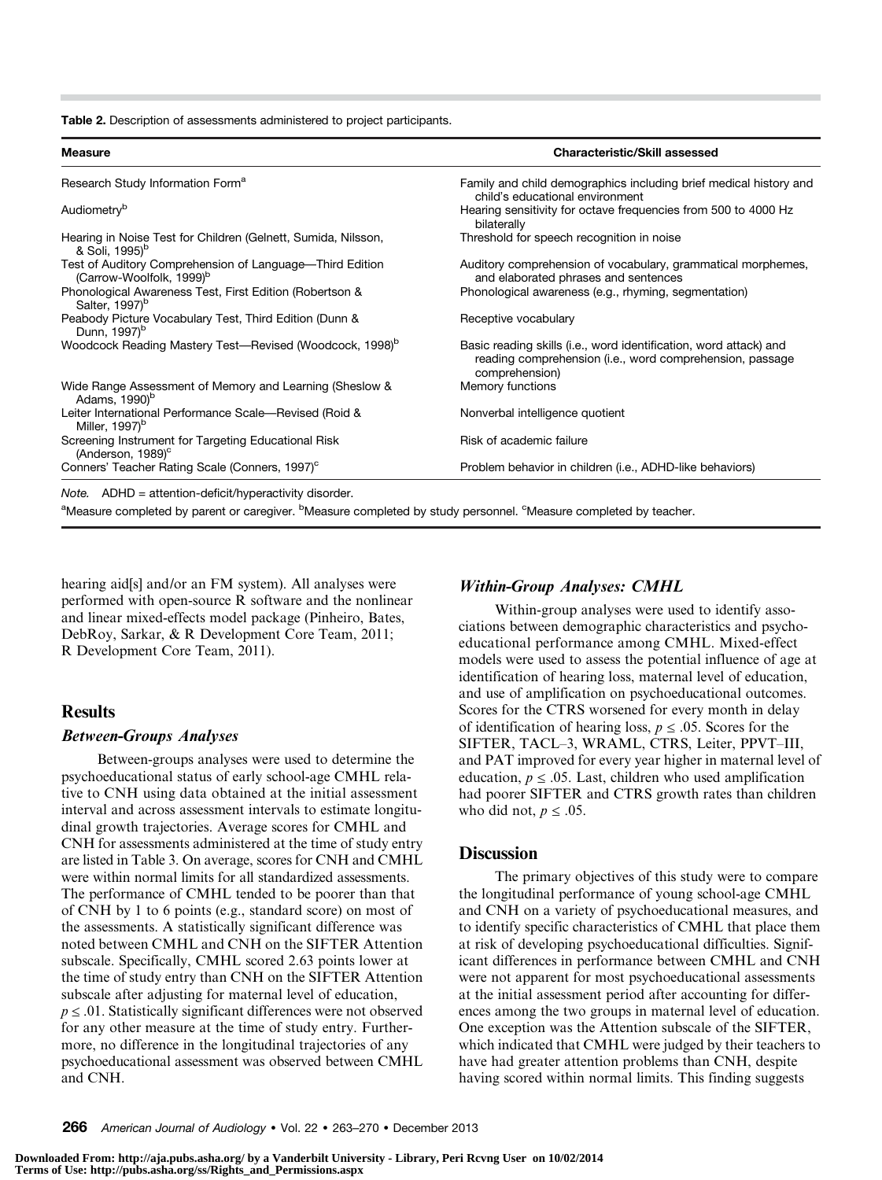Table 2. Description of assessments administered to project participants.

| <b>Characteristic/Skill assessed</b>                                                                                                            |
|-------------------------------------------------------------------------------------------------------------------------------------------------|
| Family and child demographics including brief medical history and<br>child's educational environment                                            |
| Hearing sensitivity for octave frequencies from 500 to 4000 Hz<br>bilaterally                                                                   |
| Threshold for speech recognition in noise                                                                                                       |
| Auditory comprehension of vocabulary, grammatical morphemes,<br>and elaborated phrases and sentences                                            |
| Phonological awareness (e.g., rhyming, segmentation)                                                                                            |
| Receptive vocabulary                                                                                                                            |
| Basic reading skills (i.e., word identification, word attack) and<br>reading comprehension (i.e., word comprehension, passage<br>comprehension) |
| Memory functions                                                                                                                                |
| Nonverbal intelligence quotient                                                                                                                 |
| Risk of academic failure                                                                                                                        |
| Problem behavior in children (i.e., ADHD-like behaviors)                                                                                        |
|                                                                                                                                                 |

<sup>a</sup>Measure completed by parent or caregiver. <sup>b</sup>Measure completed by study personnel. <sup>c</sup>Measure completed by teacher.

hearing aid[s] and/or an FM system). All analyses were performed with open-source R software and the nonlinear and linear mixed-effects model package (Pinheiro, Bates, DebRoy, Sarkar, & R Development Core Team, 2011; R Development Core Team, 2011).

# **Results**

#### Between-Groups Analyses

Between-groups analyses were used to determine the psychoeducational status of early school-age CMHL relative to CNH using data obtained at the initial assessment interval and across assessment intervals to estimate longitudinal growth trajectories. Average scores for CMHL and CNH for assessments administered at the time of study entry are listed in Table 3. On average, scores for CNH and CMHL were within normal limits for all standardized assessments. The performance of CMHL tended to be poorer than that of CNH by 1 to 6 points (e.g., standard score) on most of the assessments. A statistically significant difference was noted between CMHL and CNH on the SIFTER Attention subscale. Specifically, CMHL scored 2.63 points lower at the time of study entry than CNH on the SIFTER Attention subscale after adjusting for maternal level of education,  $p \leq 0.01$ . Statistically significant differences were not observed for any other measure at the time of study entry. Furthermore, no difference in the longitudinal trajectories of any psychoeducational assessment was observed between CMHL and CNH.

#### Within-Group Analyses: CMHL

Within-group analyses were used to identify associations between demographic characteristics and psychoeducational performance among CMHL. Mixed-effect models were used to assess the potential influence of age at identification of hearing loss, maternal level of education, and use of amplification on psychoeducational outcomes. Scores for the CTRS worsened for every month in delay of identification of hearing loss,  $p \leq 0.05$ . Scores for the SIFTER, TACL–3, WRAML, CTRS, Leiter, PPVT–III, and PAT improved for every year higher in maternal level of education,  $p \leq 0.05$ . Last, children who used amplification had poorer SIFTER and CTRS growth rates than children who did not,  $p \leq .05$ .

#### **Discussion**

The primary objectives of this study were to compare the longitudinal performance of young school-age CMHL and CNH on a variety of psychoeducational measures, and to identify specific characteristics of CMHL that place them at risk of developing psychoeducational difficulties. Significant differences in performance between CMHL and CNH were not apparent for most psychoeducational assessments at the initial assessment period after accounting for differences among the two groups in maternal level of education. One exception was the Attention subscale of the SIFTER, which indicated that CMHL were judged by their teachers to have had greater attention problems than CNH, despite having scored within normal limits. This finding suggests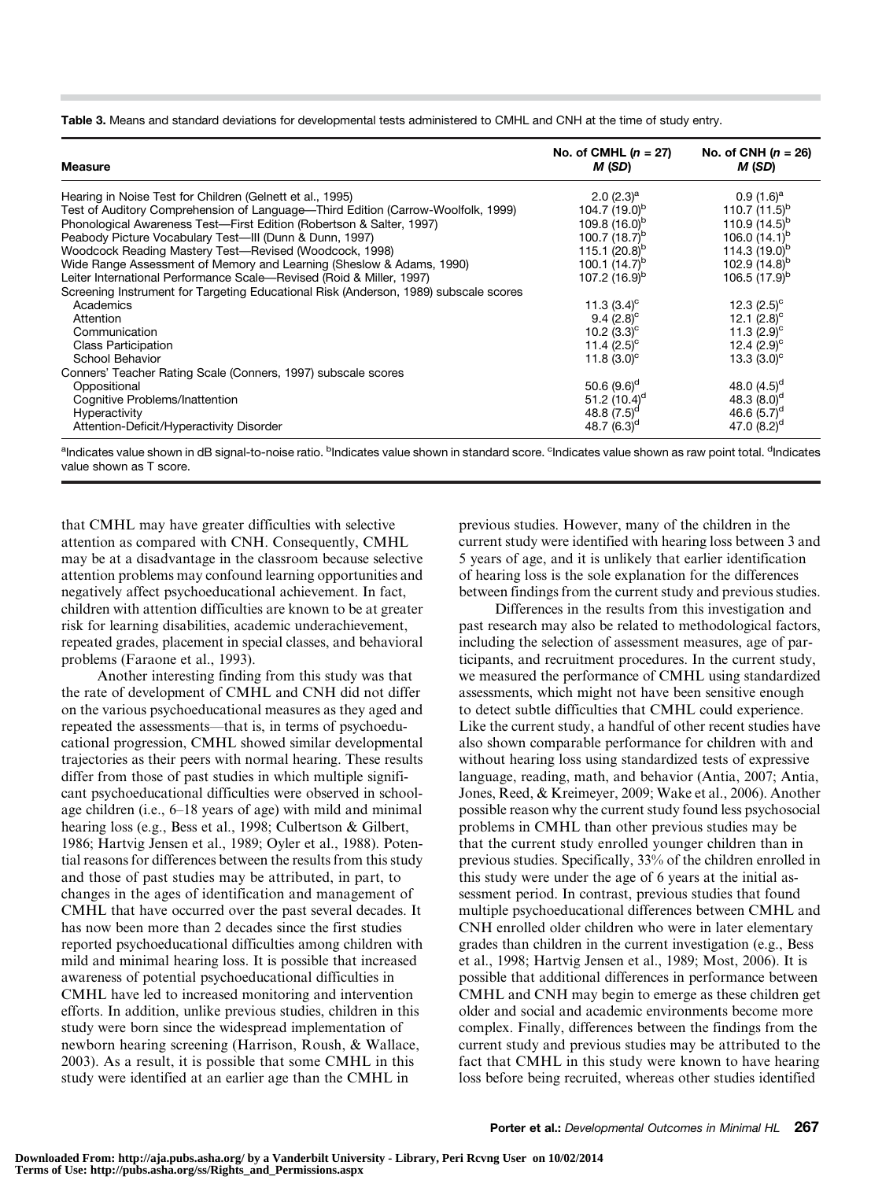Table 3. Means and standard deviations for developmental tests administered to CMHL and CNH at the time of study entry.

| <b>Measure</b>                                                                       | No. of CMHL $(n = 27)$<br>M (SD) | No. of CNH $(n = 26)$<br>M (SD) |
|--------------------------------------------------------------------------------------|----------------------------------|---------------------------------|
| Hearing in Noise Test for Children (Gelnett et al., 1995)                            | 2.0 $(2.3)^a$                    | $0.9(1.6)^a$                    |
| Test of Auditory Comprehension of Language—Third Edition (Carrow-Woolfolk, 1999)     | 104.7 $(19.0)^{b}$               | 110.7 $(11.5)^{b}$              |
| Phonological Awareness Test-First Edition (Robertson & Salter, 1997)                 | 109.8 $(16.0)^{b}$               | 110.9 $(14.5)^{b}$              |
| Peabody Picture Vocabulary Test-III (Dunn & Dunn, 1997)                              | 100.7 $(18.7)^{b}$               | 106.0 $(14.1)^{b}$              |
| Woodcock Reading Mastery Test-Revised (Woodcock, 1998)                               | 115.1 $(20.8)^{b}$               | 114.3 $(19.0)^b$                |
| Wide Range Assessment of Memory and Learning (Sheslow & Adams, 1990)                 | 100.1 $(14.7)^{p}$               | 102.9 $(14.8)^{D}$              |
| Leiter International Performance Scale-Revised (Roid & Miller, 1997)                 | 107.2 $(16.9)^{b}$               | 106.5 $(17.9)^{b}$              |
| Screening Instrument for Targeting Educational Risk (Anderson, 1989) subscale scores |                                  |                                 |
| Academics                                                                            | 11.3 $(3.4)^c$                   | 12.3 $(2.5)^c$                  |
| Attention                                                                            | 9.4 $(2.8)^c$                    | 12.1 $(2.8)^c$                  |
| Communication                                                                        | 10.2 $(3.3)^c$                   | 11.3 $(2.9)^{\circ}$            |
| <b>Class Participation</b>                                                           | 11.4 $(2.5)^c$                   | 12.4 $(2.9)^c$                  |
| School Behavior                                                                      | 11.8 $(3.0)^{\circ}$             | 13.3 $(3.0)^c$                  |
| Conners' Teacher Rating Scale (Conners, 1997) subscale scores                        |                                  |                                 |
| Oppositional                                                                         | 50.6 $(9.6)^d$                   | 48.0 $(4.5)^d$                  |
| Cognitive Problems/Inattention                                                       | 51.2 $(10.4)$ <sup>d</sup>       | 48.3 $(8.0)^d$                  |
| <b>Hyperactivity</b>                                                                 | 48.8 $(7.5)^d$                   | 46.6 $(5.7)^d$                  |
| Attention-Deficit/Hyperactivity Disorder                                             | 48.7 $(6.3)^d$                   | 47.0 $(8.2)^d$                  |

<sup>a</sup>lndicates value shown in dB signal-to-noise ratio. <sup>b</sup>Indicates value shown in standard score. <sup>c</sup>Indicates value shown as raw point total. <sup>d</sup>Indicates value shown as T score.

that CMHL may have greater difficulties with selective attention as compared with CNH. Consequently, CMHL may be at a disadvantage in the classroom because selective attention problems may confound learning opportunities and negatively affect psychoeducational achievement. In fact, children with attention difficulties are known to be at greater risk for learning disabilities, academic underachievement, repeated grades, placement in special classes, and behavioral problems (Faraone et al., 1993).

Another interesting finding from this study was that the rate of development of CMHL and CNH did not differ on the various psychoeducational measures as they aged and repeated the assessments—that is, in terms of psychoeducational progression, CMHL showed similar developmental trajectories as their peers with normal hearing. These results differ from those of past studies in which multiple significant psychoeducational difficulties were observed in schoolage children (i.e., 6–18 years of age) with mild and minimal hearing loss (e.g., Bess et al., 1998; Culbertson & Gilbert, 1986; Hartvig Jensen et al., 1989; Oyler et al., 1988). Potential reasons for differences between the results from this study and those of past studies may be attributed, in part, to changes in the ages of identification and management of CMHL that have occurred over the past several decades. It has now been more than 2 decades since the first studies reported psychoeducational difficulties among children with mild and minimal hearing loss. It is possible that increased awareness of potential psychoeducational difficulties in CMHL have led to increased monitoring and intervention efforts. In addition, unlike previous studies, children in this study were born since the widespread implementation of newborn hearing screening (Harrison, Roush, & Wallace, 2003). As a result, it is possible that some CMHL in this study were identified at an earlier age than the CMHL in

previous studies. However, many of the children in the current study were identified with hearing loss between 3 and 5 years of age, and it is unlikely that earlier identification of hearing loss is the sole explanation for the differences between findings from the current study and previous studies.

Differences in the results from this investigation and past research may also be related to methodological factors, including the selection of assessment measures, age of participants, and recruitment procedures. In the current study, we measured the performance of CMHL using standardized assessments, which might not have been sensitive enough to detect subtle difficulties that CMHL could experience. Like the current study, a handful of other recent studies have also shown comparable performance for children with and without hearing loss using standardized tests of expressive language, reading, math, and behavior (Antia, 2007; Antia, Jones, Reed, & Kreimeyer, 2009; Wake et al., 2006). Another possible reason why the current study found less psychosocial problems in CMHL than other previous studies may be that the current study enrolled younger children than in previous studies. Specifically, 33% of the children enrolled in this study were under the age of 6 years at the initial assessment period. In contrast, previous studies that found multiple psychoeducational differences between CMHL and CNH enrolled older children who were in later elementary grades than children in the current investigation (e.g., Bess et al., 1998; Hartvig Jensen et al., 1989; Most, 2006). It is possible that additional differences in performance between CMHL and CNH may begin to emerge as these children get older and social and academic environments become more complex. Finally, differences between the findings from the current study and previous studies may be attributed to the fact that CMHL in this study were known to have hearing loss before being recruited, whereas other studies identified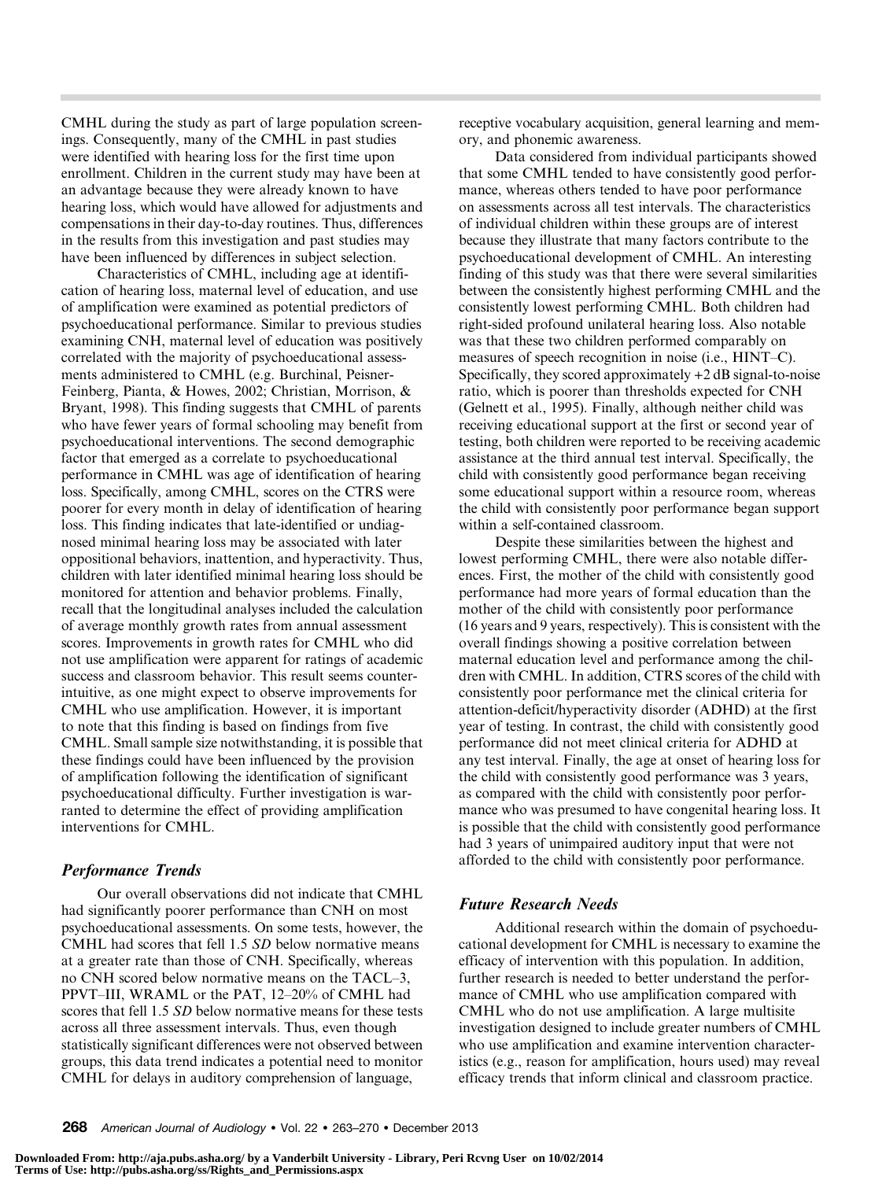CMHL during the study as part of large population screenings. Consequently, many of the CMHL in past studies were identified with hearing loss for the first time upon enrollment. Children in the current study may have been at an advantage because they were already known to have hearing loss, which would have allowed for adjustments and compensations in their day-to-day routines. Thus, differences in the results from this investigation and past studies may have been influenced by differences in subject selection.

Characteristics of CMHL, including age at identification of hearing loss, maternal level of education, and use of amplification were examined as potential predictors of psychoeducational performance. Similar to previous studies examining CNH, maternal level of education was positively correlated with the majority of psychoeducational assessments administered to CMHL (e.g. Burchinal, Peisner-Feinberg, Pianta, & Howes, 2002; Christian, Morrison, & Bryant, 1998). This finding suggests that CMHL of parents who have fewer years of formal schooling may benefit from psychoeducational interventions. The second demographic factor that emerged as a correlate to psychoeducational performance in CMHL was age of identification of hearing loss. Specifically, among CMHL, scores on the CTRS were poorer for every month in delay of identification of hearing loss. This finding indicates that late-identified or undiagnosed minimal hearing loss may be associated with later oppositional behaviors, inattention, and hyperactivity. Thus, children with later identified minimal hearing loss should be monitored for attention and behavior problems. Finally, recall that the longitudinal analyses included the calculation of average monthly growth rates from annual assessment scores. Improvements in growth rates for CMHL who did not use amplification were apparent for ratings of academic success and classroom behavior. This result seems counterintuitive, as one might expect to observe improvements for CMHL who use amplification. However, it is important to note that this finding is based on findings from five CMHL. Small sample size notwithstanding, it is possible that these findings could have been influenced by the provision of amplification following the identification of significant psychoeducational difficulty. Further investigation is warranted to determine the effect of providing amplification interventions for CMHL.

# Performance Trends

Our overall observations did not indicate that CMHL had significantly poorer performance than CNH on most psychoeducational assessments. On some tests, however, the CMHL had scores that fell 1.5 SD below normative means at a greater rate than those of CNH. Specifically, whereas no CNH scored below normative means on the TACL–3, PPVT–III, WRAML or the PAT, 12–20% of CMHL had scores that fell 1.5 SD below normative means for these tests across all three assessment intervals. Thus, even though statistically significant differences were not observed between groups, this data trend indicates a potential need to monitor CMHL for delays in auditory comprehension of language,

receptive vocabulary acquisition, general learning and memory, and phonemic awareness.

Data considered from individual participants showed that some CMHL tended to have consistently good performance, whereas others tended to have poor performance on assessments across all test intervals. The characteristics of individual children within these groups are of interest because they illustrate that many factors contribute to the psychoeducational development of CMHL. An interesting finding of this study was that there were several similarities between the consistently highest performing CMHL and the consistently lowest performing CMHL. Both children had right-sided profound unilateral hearing loss. Also notable was that these two children performed comparably on measures of speech recognition in noise (i.e., HINT–C). Specifically, they scored approximately +2 dB signal-to-noise ratio, which is poorer than thresholds expected for CNH (Gelnett et al., 1995). Finally, although neither child was receiving educational support at the first or second year of testing, both children were reported to be receiving academic assistance at the third annual test interval. Specifically, the child with consistently good performance began receiving some educational support within a resource room, whereas the child with consistently poor performance began support within a self-contained classroom.

Despite these similarities between the highest and lowest performing CMHL, there were also notable differences. First, the mother of the child with consistently good performance had more years of formal education than the mother of the child with consistently poor performance (16 years and 9 years, respectively). This is consistent with the overall findings showing a positive correlation between maternal education level and performance among the children with CMHL. In addition, CTRS scores of the child with consistently poor performance met the clinical criteria for attention-deficit/hyperactivity disorder (ADHD) at the first year of testing. In contrast, the child with consistently good performance did not meet clinical criteria for ADHD at any test interval. Finally, the age at onset of hearing loss for the child with consistently good performance was 3 years, as compared with the child with consistently poor performance who was presumed to have congenital hearing loss. It is possible that the child with consistently good performance had 3 years of unimpaired auditory input that were not afforded to the child with consistently poor performance.

#### Future Research Needs

Additional research within the domain of psychoeducational development for CMHL is necessary to examine the efficacy of intervention with this population. In addition, further research is needed to better understand the performance of CMHL who use amplification compared with CMHL who do not use amplification. A large multisite investigation designed to include greater numbers of CMHL who use amplification and examine intervention characteristics (e.g., reason for amplification, hours used) may reveal efficacy trends that inform clinical and classroom practice.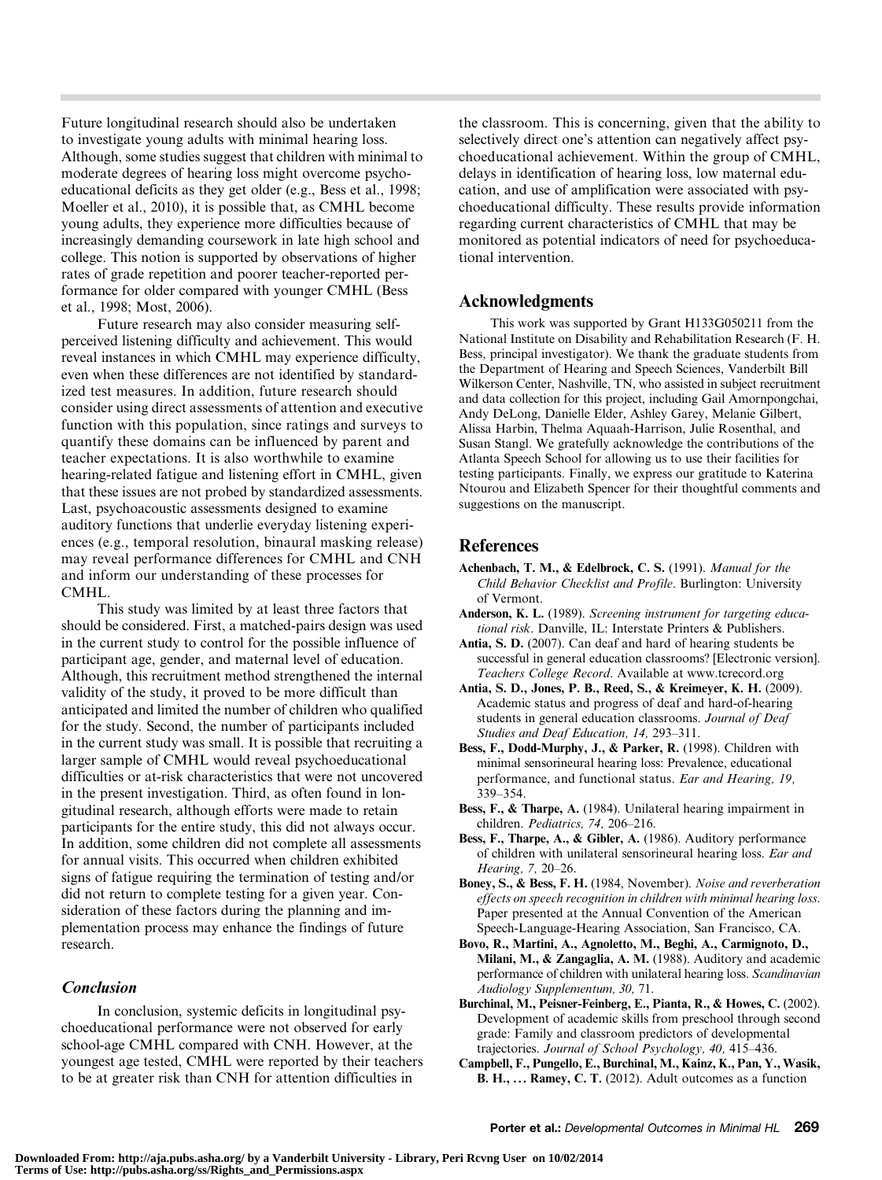Future longitudinal research should also be undertaken to investigate young adults with minimal hearing loss. Although, some studies suggest that children with minimal to moderate degrees of hearing loss might overcome psychoeducational deficits as they get older (e.g., Bess et al., 1998; Moeller et al., 2010), it is possible that, as CMHL become young adults, they experience more difficulties because of increasingly demanding coursework in late high school and college. This notion is supported by observations of higher rates of grade repetition and poorer teacher-reported performance for older compared with younger CMHL (Bess et al., 1998; Most, 2006).

Future research may also consider measuring selfperceived listening difficulty and achievement. This would reveal instances in which CMHL may experience difficulty, even when these differences are not identified by standardized test measures. In addition, future research should consider using direct assessments of attention and executive function with this population, since ratings and surveys to quantify these domains can be influenced by parent and teacher expectations. It is also worthwhile to examine hearing-related fatigue and listening effort in CMHL, given that these issues are not probed by standardized assessments. Last, psychoacoustic assessments designed to examine auditory functions that underlie everyday listening experiences (e.g., temporal resolution, binaural masking release) may reveal performance differences for CMHL and CNH and inform our understanding of these processes for CMHL.

This study was limited by at least three factors that should be considered. First, a matched-pairs design was used in the current study to control for the possible influence of participant age, gender, and maternal level of education. Although, this recruitment method strengthened the internal validity of the study, it proved to be more difficult than anticipated and limited the number of children who qualified for the study. Second, the number of participants included in the current study was small. It is possible that recruiting a larger sample of CMHL would reveal psychoeducational difficulties or at-risk characteristics that were not uncovered in the present investigation. Third, as often found in longitudinal research, although efforts were made to retain participants for the entire study, this did not always occur. In addition, some children did not complete all assessments for annual visits. This occurred when children exhibited signs of fatigue requiring the termination of testing and/or did not return to complete testing for a given year. Consideration of these factors during the planning and implementation process may enhance the findings of future research.

#### Conclusion

In conclusion, systemic deficits in longitudinal psychoeducational performance were not observed for early school-age CMHL compared with CNH. However, at the youngest age tested, CMHL were reported by their teachers to be at greater risk than CNH for attention difficulties in

the classroom. This is concerning, given that the ability to selectively direct one's attention can negatively affect psychoeducational achievement. Within the group of CMHL, delays in identification of hearing loss, low maternal education, and use of amplification were associated with psychoeducational difficulty. These results provide information regarding current characteristics of CMHL that may be monitored as potential indicators of need for psychoeducational intervention.

# Acknowledgments

This work was supported by Grant H133G050211 from the National Institute on Disability and Rehabilitation Research (F. H. Bess, principal investigator). We thank the graduate students from the Department of Hearing and Speech Sciences, Vanderbilt Bill Wilkerson Center, Nashville, TN, who assisted in subject recruitment and data collection for this project, including Gail Amornpongchai, Andy DeLong, Danielle Elder, Ashley Garey, Melanie Gilbert, Alissa Harbin, Thelma Aquaah-Harrison, Julie Rosenthal, and Susan Stangl. We gratefully acknowledge the contributions of the Atlanta Speech School for allowing us to use their facilities for testing participants. Finally, we express our gratitude to Katerina Ntourou and Elizabeth Spencer for their thoughtful comments and suggestions on the manuscript.

# References

- Achenbach, T. M., & Edelbrock, C. S. (1991). Manual for the Child Behavior Checklist and Profile. Burlington: University of Vermont.
- Anderson, K. L. (1989). Screening instrument for targeting educational risk. Danville, IL: Interstate Printers & Publishers.
- Antia, S. D. (2007). Can deaf and hard of hearing students be successful in general education classrooms? [Electronic version]. Teachers College Record. Available at www.tcrecord.org
- Antia, S. D., Jones, P. B., Reed, S., & Kreimeyer, K. H. (2009). Academic status and progress of deaf and hard-of-hearing students in general education classrooms. Journal of Deaf Studies and Deaf Education, 14, 293–311.
- Bess, F., Dodd-Murphy, J., & Parker, R. (1998). Children with minimal sensorineural hearing loss: Prevalence, educational performance, and functional status. Ear and Hearing, 19, 339–354.
- Bess, F., & Tharpe, A. (1984). Unilateral hearing impairment in children. Pediatrics, 74, 206–216.
- Bess, F., Tharpe, A., & Gibler, A. (1986). Auditory performance of children with unilateral sensorineural hearing loss. Ear and Hearing, 7, 20–26.
- Boney, S., & Bess, F. H. (1984, November). Noise and reverberation effects on speech recognition in children with minimal hearing loss. Paper presented at the Annual Convention of the American Speech-Language-Hearing Association, San Francisco, CA.
- Bovo, R., Martini, A., Agnoletto, M., Beghi, A., Carmignoto, D., Milani, M., & Zangaglia, A. M. (1988). Auditory and academic performance of children with unilateral hearing loss. Scandinavian Audiology Supplementum, 30, 71.
- Burchinal, M., Peisner-Feinberg, E., Pianta, R., & Howes, C. (2002). Development of academic skills from preschool through second grade: Family and classroom predictors of developmental trajectories. Journal of School Psychology, 40, 415–436.
- Campbell, F., Pungello, E., Burchinal, M., Kainz, K., Pan, Y., Wasik, B. H., ... Ramey, C. T. (2012). Adult outcomes as a function